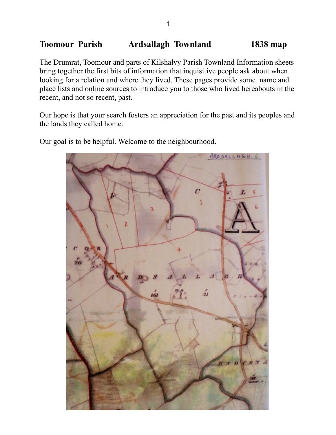## **Toomour Parish Ardsallagh Townland 1838 map**

The Drumrat, Toomour and parts of Kilshalvy Parish Townland Information sheets bring together the first bits of information that inquisitive people ask about when looking for a relation and where they lived. These pages provide some name and place lists and online sources to introduce you to those who lived hereabouts in the recent, and not so recent, past.

Our hope is that your search fosters an appreciation for the past and its peoples and the lands they called home.

ARD SALLAGH. 6 leid

Our goal is to be helpful. Welcome to the neighbourhood.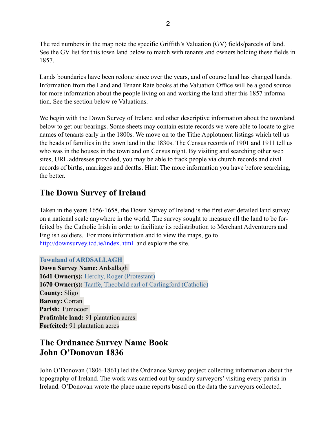The red numbers in the map note the specific Griffith's Valuation (GV) fields/parcels of land. See the GV list for this town land below to match with tenants and owners holding these fields in 1857.

Lands boundaries have been redone since over the years, and of course land has changed hands. Information from the Land and Tenant Rate books at the Valuation Office will be a good source for more information about the people living on and working the land after this 1857 information. See the section below re Valuations.

We begin with the Down Survey of Ireland and other descriptive information about the townland below to get our bearings. Some sheets may contain estate records we were able to locate to give names of tenants early in the 1800s. We move on to the Tithe Applotment listings which tell us the heads of families in the town land in the 1830s. The Census records of 1901 and 1911 tell us who was in the houses in the townland on Census night. By visiting and searching other web sites, URL addresses provided, you may be able to track people via church records and civil records of births, marriages and deaths. Hint: The more information you have before searching, the better.

# **The Down Survey of Ireland**

Taken in the years 1656-1658, the Down Survey of Ireland is the first ever detailed land survey on a national scale anywhere in the world. The survey sought to measure all the land to be forfeited by the Catholic Irish in order to facilitate its redistribution to Merchant Adventurers and English soldiers. For more information and to view the maps, go to <http://downsurvey.tcd.ie/index.html>and explore the site.

### **Townland of ARDSALLAGH**

**Down Survey Name:** Ardsallagh **1641 Owner(s):** [Herchy, Roger \(Protestant\)](http://downsurvey.tcd.ie/landowners.php#l1=Herchy,%20Roger) **1670 Owner(s):** [Taaffe, Theobald earl of Carlingford \(Catholic\)](http://downsurvey.tcd.ie/landowners.php#l4=Taaffe,%20Theobald%20earl%20of%20Carlingford) **County:** Sligo **Barony:** Corran **Parish:** Tumocoer **Profitable land:** 91 plantation acres **Forfeited:** 91 plantation acres

## **The Ordnance Survey Name Book John O'Donovan 1836**

John O'Donovan (1806-1861) led the Ordnance Survey project collecting information about the topography of Ireland. The work was carried out by sundry surveyors' visiting every parish in Ireland. O'Donovan wrote the place name reports based on the data the surveyors collected.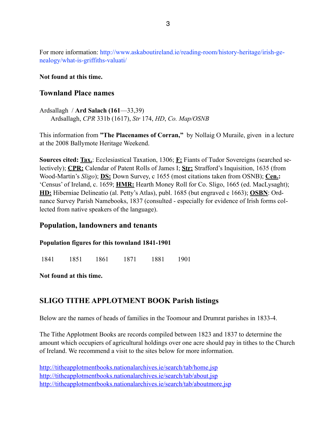For more information: http://www.askaboutireland.ie/reading-room/history-heritage/irish-genealogy/what-is-griffiths-valuati/

### **Not found at this time.**

### **Townland Place names**

Ardsallagh / **Ard Salach (161**—33,39) Ardsallagh, *CPR* 331b (1617), *Str* 174, *HD*, *Co. Map/OSNB*

This information from **"The Placenames of Corran,"** by Nollaig O Muraile, given in a lecture at the 2008 Ballymote Heritage Weekend.

**Sources cited: Tax.**: Ecclesiastical Taxation, 1306; **F:** Fiants of Tudor Sovereigns (searched selectively); **CPR:** Calendar of Patent Rolls of James I; **Str:** Strafford's Inquisition, 1635 (from Wood-Martin's *Sligo*); **DS:** Down Survey, c 1655 (most citations taken from OSNB); **Cen.:** 'Census' of Ireland, c. 1659; **HMR:** Hearth Money Roll for Co. Sligo, 1665 (ed. MacLysaght); **HD:** Hiberniae Delineatio (al. Petty's Atlas), publ. 1685 (but engraved c 1663); **OSBN**: Ordnance Survey Parish Namebooks, 1837 (consulted - especially for evidence of Irish forms collected from native speakers of the language).

### **Population, landowners and tenants**

#### **Population figures for this townland 1841-1901**

1841 1851 1861 1871 1881 1901

**Not found at this time.**

### **SLIGO TITHE APPLOTMENT BOOK Parish listings**

Below are the names of heads of families in the Toomour and Drumrat parishes in 1833-4.

The Tithe Applotment Books are records compiled between 1823 and 1837 to determine the amount which occupiers of agricultural holdings over one acre should pay in tithes to the Church of Ireland. We recommend a visit to the sites below for more information.

<http://titheapplotmentbooks.nationalarchives.ie/search/tab/home.jsp> <http://titheapplotmentbooks.nationalarchives.ie/search/tab/about.jsp> <http://titheapplotmentbooks.nationalarchives.ie/search/tab/aboutmore.jsp>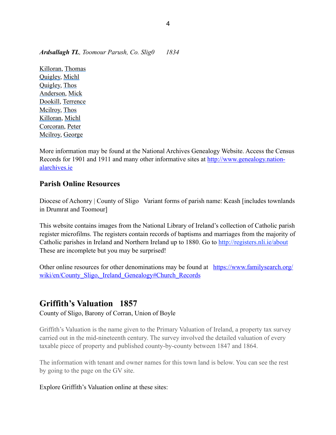*Ardsallagh TL, Toomour Parush, Co. Slig0 1834*

[Killoran,](http://titheapplotmentbooks.nationalarchives.ie/reels/tab//004625727/004625727_00083.pdf) [Thomas](http://titheapplotmentbooks.nationalarchives.ie/reels/tab//004625727/004625727_00083.pdf) [Quigley,](http://titheapplotmentbooks.nationalarchives.ie/reels/tab//004625727/004625727_00083.pdf) [Michl](http://titheapplotmentbooks.nationalarchives.ie/reels/tab//004625727/004625727_00083.pdf)  [Quigley,](http://titheapplotmentbooks.nationalarchives.ie/reels/tab//004625727/004625727_00083.pdf) [Thos](http://titheapplotmentbooks.nationalarchives.ie/reels/tab//004625727/004625727_00083.pdf)  [Anderson,](http://titheapplotmentbooks.nationalarchives.ie/reels/tab//004625727/004625727_00083.pdf) [Mick](http://titheapplotmentbooks.nationalarchives.ie/reels/tab//004625727/004625727_00083.pdf)  [Dookill,](http://titheapplotmentbooks.nationalarchives.ie/reels/tab//004625727/004625727_00083.pdf) [Terrence](http://titheapplotmentbooks.nationalarchives.ie/reels/tab//004625727/004625727_00083.pdf) [Mcilroy,](http://titheapplotmentbooks.nationalarchives.ie/reels/tab//004625727/004625727_00083.pdf) [Thos](http://titheapplotmentbooks.nationalarchives.ie/reels/tab//004625727/004625727_00083.pdf)  [Killoran,](http://titheapplotmentbooks.nationalarchives.ie/reels/tab//004625727/004625727_00083.pdf) [Michl](http://titheapplotmentbooks.nationalarchives.ie/reels/tab//004625727/004625727_00083.pdf)  [Corcoran,](http://titheapplotmentbooks.nationalarchives.ie/reels/tab//004625727/004625727_00083.pdf) [Peter](http://titheapplotmentbooks.nationalarchives.ie/reels/tab//004625727/004625727_00083.pdf) [Mcilroy,](http://titheapplotmentbooks.nationalarchives.ie/reels/tab//004625727/004625727_00083.pdf) [George](http://titheapplotmentbooks.nationalarchives.ie/reels/tab//004625727/004625727_00083.pdf)

More information may be found at the National Archives Genealogy Website. Access the Census [Records for 1901 and 1911 and many other informative sites at http://www.genealogy.nation](http://www.genealogy.nationalarchives.ie)alarchives.ie

### **Parish Online Resources**

Diocese of Achonry | County of Sligo Variant forms of parish name: Keash [includes townlands] in Drumrat and Toomour]

This website contains images from the National Library of Ireland's collection of Catholic parish register microfilms. The registers contain records of baptisms and marriages from the majority of Catholic parishes in Ireland and Northern Ireland up to 1880. Go to<http://registers.nli.ie/about> These are incomplete but you may be surprised!

[Other online resources for other denominations may be found at https://www.familysearch.org/](https://www.familysearch.org/wiki/en/County_Sligo,_Ireland_Genealogy#Church_Records) wiki/en/County\_Sligo, Ireland\_Genealogy#Church\_Records

## **Griffith's Valuation 1857**

County of Sligo, Barony of Corran, Union of Boyle

Griffith's Valuation is the name given to the Primary Valuation of Ireland, a property tax survey carried out in the mid-nineteenth century. The survey involved the detailed valuation of every taxable piece of property and published county-by-county between 1847 and 1864.

The information with tenant and owner names for this town land is below. You can see the rest by going to the page on the GV site.

### Explore Griffith's Valuation online at these sites: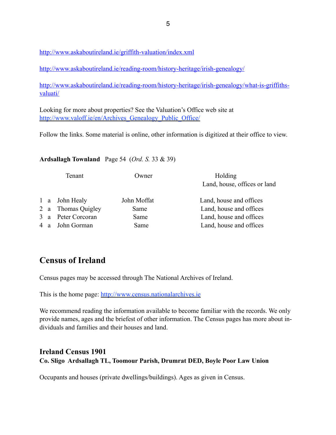<http://www.askaboutireland.ie/griffith-valuation/index.xml>

<http://www.askaboutireland.ie/reading-room/history-heritage/irish-genealogy/>

[http://www.askaboutireland.ie/reading-room/history-heritage/irish-genealogy/what-is-griffiths](http://www.askaboutireland.ie/reading-room/history-heritage/irish-genealogy/what-is-griffiths-valuati/)valuati/

Looking for more about properties? See the Valuation's Office web site at http://www.valoff.ie/en/Archives Genealogy Public Office/

Follow the links. Some material is online, other information is digitized at their office to view.

### **Ardsallagh Townland** Page 54 (*Ord. S.* 33 & 39)

|  | Tenant             | Owner       | Holding<br>Land, house, offices or land |
|--|--------------------|-------------|-----------------------------------------|
|  | 1 a John Healy     | John Moffat | Land, house and offices                 |
|  | 2 a Thomas Quigley | Same        | Land, house and offices                 |
|  | 3 a Peter Corcoran | Same        | Land, house and offices                 |
|  | 4 a John Gorman    | Same        | Land, house and offices                 |
|  |                    |             |                                         |

# **Census of Ireland**

Census pages may be accessed through The National Archives of Ireland.

This is the home page: <http://www.census.nationalarchives.ie>

We recommend reading the information available to become familiar with the records. We only provide names, ages and the briefest of other information. The Census pages has more about individuals and families and their houses and land.

### **Ireland Census 1901 Co. Sligo Ardsallagh TL, Toomour Parish, Drumrat DED, Boyle Poor Law Union**

Occupants and houses (private dwellings/buildings). Ages as given in Census.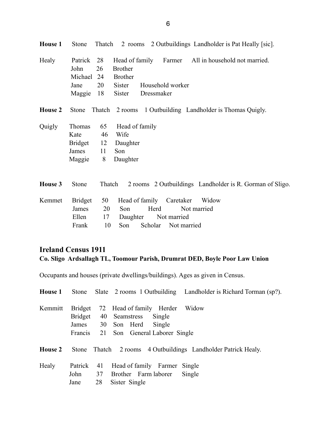|                | John           | 26     | <b>Brother</b> |                          |             |                                                           |
|----------------|----------------|--------|----------------|--------------------------|-------------|-----------------------------------------------------------|
|                | Michael        | 24     | <b>Brother</b> |                          |             |                                                           |
|                | Jane           | 20     | Sister         | Household worker         |             |                                                           |
|                | Maggie         | 18     | Sister         | Dressmaker               |             |                                                           |
| <b>House 2</b> | Stone          |        |                |                          |             | Thatch 2 rooms 1 Outbuilding Landholder is Thomas Quigly. |
| Quigly         | Thomas         | 65     | Head of family |                          |             |                                                           |
|                | Kate           | 46     | Wife           |                          |             |                                                           |
|                | Bridget        | 12     | Daughter       |                          |             |                                                           |
|                | James          | 11     | Son            |                          |             |                                                           |
|                | Maggie         | 8      | Daughter       |                          |             |                                                           |
| House 3        | Stone          | Thatch |                |                          |             | 2 rooms 2 Outbuildings Landholder is R. Gorman of Sligo.  |
| Kemmet         | <b>Bridget</b> | 50     |                | Head of family Caretaker |             | Widow                                                     |
|                | James          | 20     | Son            | Herd                     |             | Not married                                               |
|                | Ellen          | 17     | Daughter       |                          | Not married |                                                           |
|                | Frank          | 10     | Son            | Scholar Not married      |             |                                                           |

## **Ireland Census 1911 Co. Sligo Ardsallagh TL, Toomour Parish, Drumrat DED, Boyle Poor Law Union**

Occupants and houses (private dwellings/buildings). Ages as given in Census.

| <b>House 1</b> |                                  | Stone Slate 2 rooms 1 Outbuilding Landholder is Richard Torman (sp?).                                                                  |
|----------------|----------------------------------|----------------------------------------------------------------------------------------------------------------------------------------|
| Kemmitt        | <b>Bridget</b>                   | 72 Head of family Herder<br>Widow<br>Bridget 40 Seamstress Single<br>James 30 Son Herd Single<br>Francis 21 Son General Laborer Single |
| <b>House 2</b> |                                  | Stone Thatch 2 rooms 4 Outbuildings Landholder Patrick Healy.                                                                          |
| Healy          | Patrick 41<br>John 37<br>Jane 28 | Head of family Farmer Single<br>Brother Farm laborer<br>Single<br>Sister Single                                                        |

**House 1** Stone Thatch 2 rooms 2 Outbuildings Landholder is Pat Heally [sic].

Healy Patrick 28 Head of family Farmer All in household not married.